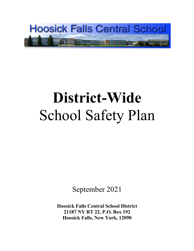

# **District-Wide** School Safety Plan

September 2021

**Hoosick Falls Central School District 21187 NY RT 22, P.O. Box 192 Hoosick Falls, New York, 12090**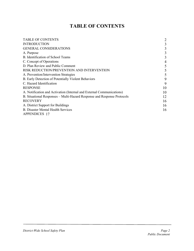# **TABLE OF CONTENTS**

| <b>TABLE OF CONTENTS</b>                                                |    |
|-------------------------------------------------------------------------|----|
| <b>INTRODUCTION</b>                                                     | 3  |
| <b>GENERAL CONSIDERATIONS</b>                                           | 3  |
| A. Purpose                                                              | 3  |
| B. Identification of School Teams                                       | 3  |
| C. Concept of Operations                                                |    |
| D. Plan Review and Public Comment                                       | 5  |
| RISK REDUCTION/PREVENTION AND INTERVENTION                              | 5  |
| A. Prevention/Intervention Strategies                                   | 5  |
| B. Early Detection of Potentially Violent Behaviors                     | 9  |
| C. Hazard Identification                                                | 9  |
| <b>RESPONSE</b>                                                         | 10 |
| A. Notification and Activation (Internal and External Communications)   | 10 |
| B. Situational Responses - Multi-Hazard Response and Response Protocols | 12 |
| <b>RECOVERY</b>                                                         | 16 |
| A. District Support for Buildings                                       | 16 |
| <b>B. Disaster Mental Health Services</b>                               |    |
| <b>APPENDICES 17</b>                                                    |    |
|                                                                         |    |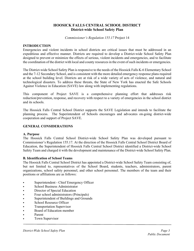# **HOOSICK FALLS CENTRAL SCHOOL DISTRICT District-wide School Safety Plan**

*Commissioner's Regulation 155.17* Project 14

#### **INTRODUCTION**

Emergencies and violent incidents in school districts are critical issues that must be addressed in an expeditious and effective manner. Districts are required to develop a District-wide School Safety Plan designed to prevent or minimize the effects of serious, violent incidents and emergencies, and to facilitate the coordination of the district with local and county resources in the event of such incidents or emergencies.

The District-wide School Safety Plan is responsive to the needs of the Hoosick Falls K-6 Elementary School and the 7-12 Secondary School, and is consistent with the more detailed emergency response plans required at the school building level. Districts are at risk of a wide variety of acts of violence, and natural and technological disasters. To address these threats, the State of New York has enacted the Safe Schools Against Violence in Education (SAVE) law along with implementing regulations.

This component of Project SAVE is a comprehensive planning effort that addresses risk reduction/prevention, response, and recovery with respect to a variety of emergencies in the school district and its schools.

The Hoosick Falls Central School District supports the SAVE Legislation and intends to facilitate the planning process. The Superintendent of Schools encourages and advocates on-going district-wide cooperation and support of Project SAVE.

# **GENERAL CONSIDERATIONS**

#### **A. Purpose**

The Hoosick Falls Central School District-wide School Safety Plan was developed pursuant to Commissioner's Regulation 155.17. At the direction of the Hoosick Falls Central School District Board of Education, the Superintendent of Hoosick Falls Central School District identified a District-wide School Safety Team and charged it with the development and maintenance of the District-wide School Safety Plan.

#### **B. Identification of School Teams**

The Hoosick Falls Central School District has appointed a District-wide School Safety Team consisting of, but not limited to, representatives of the School Board, students, teachers, administrators, parent organizations, school safety personnel, and other school personnel. The members of the team and their positions or affiliations are as follows:

- Superintendent Chief Emergency Officer
- School Business Administrator
- Director of Special Education
- Four school administrators (Principals)
- Superintendent of Buildings and Grounds
- School Resource Officer
- **Transportation Supervisor**
- Board of Education member
- Parent
- Town Supervisor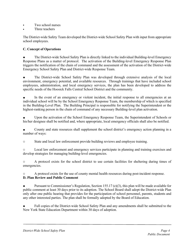- Two school nurses
- Three teachers

The District-wide Safety Team developed the District-wide School Safety Plan with input from appropriate school employees.

# **C. Concept of Operations**

The District-wide School Safety Plan is directly linked to the individual Building-level Emergency Response Plans as a matter of protocol. The activation of the Building-level Emergency Response Plan triggers the notification of the chain of command and the assessment of the activation of the District-wide Emergency School Safety Plan and District-wide Response Team.

The District-wide School Safety Plan was developed through extensive analysis of the local environment, emergency potential, and available resources. Through trainings that have included school employees, administration, and local emergency services, the plan has been developed to address the specific needs of the Hoosick Falls Central School District and the community.

In the event of an emergency or violent incident, the initial response to all emergencies at an individual school will be by the School Emergency Response Team, the membership of which is specified in the Building-Level Plan. The Building Principal is responsible for notifying the Superintendent or the highest-ranking person in the chain of command of any necessary Building-level plan activation.

Upon the activation of the School Emergency Response Team, the Superintendent of Schools or his/her designee shall be notified and, where appropriate, local emergency officials shall also be notified.

County and state resources shall supplement the school district's emergency action planning in a number of ways:

o State and local law enforcement provide building reviews and employee training.

o Local law enforcement and emergency services participate in planning and training exercises and develop strategies for managing building-level emergencies.

o A protocol exists for the school district to use certain facilities for sheltering during times of emergencies.

o A protocol exists for the use of county mental health resources during post-incident response. **D. Plan Review and Public Comment**

Pursuant to Commissioner's Regulation, Section 155.17 (e)(3), this plan will be made available for public comment at least 30 days prior to its adoption. The School Board shall adopt the District-wide Plan only after one public hearing that provides for the participation of school personnel, parents, students and any other interested parties. The plan shall be formally adopted by the Board of Education.

Full copies of the District-wide School Safety Plan and any amendments shall be submitted to the New York State Education Department within 30 days of adoption.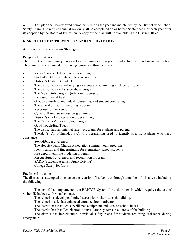This plan shall be reviewed periodically during the year and maintained by the District-wide School Safety Team. The required annual review shall be completed on or before September 1 of each year after its adoption by the Board of Education. A copy of the plan will be available in the District Office.

# **RISK REDUCTION/PREVENTION AND INTERVENTION**

#### **A. Prevention/Intervention Strategies**

#### **Program Initiatives**

The district and community has developed a number of programs and activities to aid in risk reduction. These initiatives are run at different age groups within the district.

- K-12 Character Education programming
- Student's Bill of Rights and Responsibilities
- District's Code of Conduct
- The district has an anti-bullying awareness programming in place for students
- The district has a substance abuse program
- The Mean Girls program (relational aggression)
- Increased mental health
- Group counseling, individual counseling, and student counseling
- The school district's mentoring program
- Response to Intervention
- Cyber bullying awareness programming
- District's smoking cessation programming
- The "Why Try" stay in school program
- Good Touch/Bad Touch
- The district has run internet safety programs for students and parents
- Tuesday's Child/Thursday's Child programming used to identify specific students who need assistance
- Sex Offender awareness
- The Hoosick Falls Church Association summer youth program
- Identification and fingerprinting for elementary school students
- Fire department role modeling program
- Rescue Squad awareness and recognition program
- SADD (Students Against Drunk Driving)
- College Safety for Girls

# **Facilities Initiatives**

The district has attempted to enhance the security of its facilities through a number of initiatives, including the following:

The school has implemented the RAPTOR System for visitor sign-in which requires the use of visitor ID badges with visual contact.

- The school has developed limited access for visitors at each building.
- The school district has enhanced entrance door hardware.
- The district has installed surveillance equipment and GPS on school buses.
- The district has installed electronic surveillance systems in all areas of the building.

The district has implemented individual safety plans for students requiring assistance during emergencies.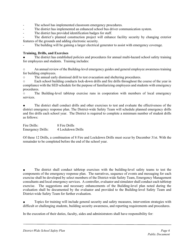The school has implemented classroom emergency procedures.

- The district has implemented an enhanced school bus driver communication system.
- The district has provided identification badges for staff.

The district's planned construction project will enhance facility security by changing exterior features of the grounds and adding electronic security.

The building will be gaining a larger electrical generator to assist with emergency coverage.

# **Training, Drills, and Exercises**

The district has established policies and procedures for annual multi-hazard school safety training for employees and students. Training includes:

o An annual review of the Building-level emergency guides and general employee awareness training for building employees.

o The annual early dismissal drill to test evacuation and sheltering procedures.

o Each school building conducts lock-down drills and fire drills throughout the course of the year in compliance with the SED schedule for the purpose of familiarizing employees and students with emergency procedures.

o The Building-level tabletop exercise runs in cooperation with members of local emergency services.

The district shall conduct drills and other exercises to test and evaluate the effectiveness of the district emergency response plan. The District-wide Safety Team will schedule planned emergency drills and fire drills each school year. The District is required to complete a minimum number of student drills as follows:

Fire Drills: 8 Fire Drills Emergency Drills: 4 Lockdown Drills

Of these 12 Drills, a combination of 8 Fire and Lockdown Drills must occur by December 31st. With the remainder to be completed before the end of the school year.

The district shall conduct tabletop exercises with the building-level safety teams to test the components of the emergency response plan. The narratives, sequence of events and messaging for each exercise shall be developed by select members of the District-wide Safety Team, Emergency Management consultants and local emergency services. A controller, evaluator and simulator shall conduct each tabletop exercise. The suggestions and necessary enhancements of the Building-level plan noted during the evaluation shall be documented by the evaluator and provided to the Building-level Safety Team and District-wide Safety Team for further evaluation.

Topics for training will include general security and safety measures, intervention strategies with difficult or challenging students, building security awareness, and reporting requirements and procedures.

In the execution of their duties, faculty, aides and administrators shall have responsibility for: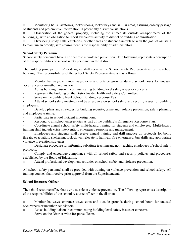o Monitoring halls, lavatories, locker rooms, locker bays and similar areas, assuring orderly passage of students and pre-emptive intervention in potentially disruptive situations.

Observation of the general property, including the immediate outside area/perimeter of the building(s), with an obligation to report suspicious activity to district or building administration.

Overseeing study halls, cafeterias, or other areas of student assemblage with the goal of assisting to maintain an orderly, safe environment is the responsibility of administrators.

#### **School Safety Personnel**

School safety personnel have a critical role in violence prevention. The following represents a description of the responsibilities of school safety personnel in the district:

The building principal or his/her designee shall serve as the School Safety Representative for the school building. The responsibilities of the School Safety Representative are as follows:

o Monitor hallways, entrance ways, exits and outside grounds during school hours for unusual occurrences or unauthorized visitors.

o Act as building liaison in communicating building level safety issues or concerns.

- Represent the building on the District-wide Health and Safety Committee.
- Serve on the building level School Building Response Team.

Attend school safety meetings and be a resource on school safety and security issues for building employees.

Develop plans and strategies for building security, crime and violence prevention, safety planning and employee training.

- Participate in school incident investigations.
- Respond to all school emergencies as part of the building's Emergency Response Plan.

- Coordinate annual school safety multi-hazard training for students and employees. Multi-hazard training shall include crisis intervention, emergency response and management.

- Employees and students shall receive annual training and drill practice on protocols for bomb threats, evacuation, sheltering, lock-down, relocate to hallway, fire emergency, bus drills and appropriate violence prevention strategies.

Designate procedure for informing substitute teaching and non-teaching employees of school safety protocols.

o Comply and encourage compliance with all school safety and security policies and procedures established by the Board of Education.

o Attend professional development activities on school safety and violence prevention.

All school safety personnel shall be provided with training on violence prevention and school safety. All training courses shall receive prior approval from the Superintendent.

#### **School Resource Officer**

The school resource officer has a critical role in violence prevention. The following represents a description of the responsibilities of the school resource officer in the district:

o Monitor hallways, entrance ways, exits and outside grounds during school hours for unusual occurrences or unauthorized visitors.

- o Act as building liaison in communicating building level safety issues or concerns.
- Serve on the District-wide Response Team.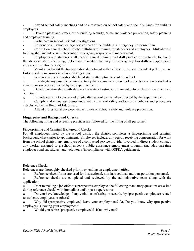Attend school safety meetings and be a resource on school safety and security issues for building employees.

Develop plans and strategies for building security, crime and violence prevention, safety planning and employee training.

Participate in school incident investigations.

Respond to all school emergencies as part of the building's Emergency Response Plan.

- Consult on annual school safety multi-hazard training for students and employees. Multi-hazard training shall include crisis intervention, emergency response and management.

- Employees and students shall receive annual training and drill practice on protocols for bomb threats, evacuation, sheltering, lock-down, relocate to hallway, fire emergency, bus drills and appropriate violence prevention strategies.

o Monitor and assist the transportation department with traffic enforcement in student pick up areas. Enforce safety measures in school parking areas.

o Screen visitors of questionable legal status attempting to visit the school.

o Investigate any possible criminal activity that occurs in or on school property or where a student is a victim or suspect as directed by the Superintendent.

o Develop relationships with students to create a trusting environment between law enforcement and our youth.

o Provide security to onsite and offsite after school events when directed by the Superintendent.

o Comply and encourage compliance with all school safety and security policies and procedures established by the Board of Education.

o Attend professional development activities on school safety and violence prevention.

#### **Fingerprint and Background Checks**

The following hiring and screening practices are followed for the hiring of all personnel:

#### Fingerprinting and Criminal Background Checks

For all employees hired by the school district, the district completes a fingerprinting and criminal background check prior to appointment. Employees include: any person receiving compensation for work from the school district; any employee of a contracted service provider involved in direct student contact; any worker assigned to a school under a public assistance employment program (includes part-time employees and substitutes) and volunteers (in compliance with OSPRA guidelines).

#### Reference Checks

References are thoroughly checked prior to extending an employment offer.

o Reference check forms are used for instructional, non-instructional and transportation personnel.

o Reference checks are completed and reviewed by the administrative team along with the application.

Prior to making a job offer to a prospective employee, the following mandatory questions are asked during reference checks with immediate and/or past supervisors:

Do you have knowledge of any violations of safety or security by (prospective employee) related to students, employees or others?

Why did (prospective employee) leave your employment? Or, Do you know why (prospective employee) is leaving your employment?

Would you rehire (prospective employee)? If no, why not?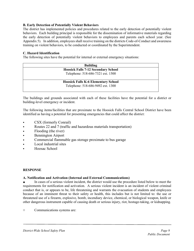#### **B. Early Detection of Potentially Violent Behaviors**

The district has implemented policies and procedures related to the early detection of potentially violent behaviors. Each building principal is responsible for the dissemination of informative materials regarding the early detection of potentially violent behaviors to employees and parents each school year. (See Appendix 5). In addition, employees shall receive training on the districts Code-of-Conduct and awareness training on violent behaviors, to be conducted or coordinated by the Superintendent.

#### **C. Hazard Identification**

The following sites have the potential for internal or external emergency situations:

| <b>Building</b>                            |  |
|--------------------------------------------|--|
| <b>Hoosick Falls 7-12 Secondary School</b> |  |
| Telephone: 518-686-7321 ext. 1500          |  |
|                                            |  |
| <b>Hoosick Falls K-6 Elementary School</b> |  |
| Telephone: 518-686-9492 ext. 1300          |  |
|                                            |  |

The buildings and grounds associated with each of these facilities have the potential for a district or building-level emergency or incident.

The following items/facilities that are proximate to the Hoosick Falls Central School District have been identified as having a potential for presenting emergencies that could affect the district:

- CSX (formerly Conrail)
- Routes 22 and 7 (traffic and hazardous materials transportation)
- Flooding (the river)
- **Bennington Airport**
- Commercial flammable gas storage proximate to bus garage
- Local industrial sites
- Hoosac School

#### **RESPONSE**

# **A. Notification and Activation (Internal and External Communications)**

In cases of a serious violent incident, the district would use the procedure listed below to meet the requirements for notification and activation. A serious violent incident is an incident of violent criminal conduct that is, or appears to be, life threatening and warrants the evacuation of students and employees because of an imminent threat to their safety or health, this includes but is not limited to: the use or threatened use of a firearm, explosive, bomb, incendiary device, chemical, or biological weapon, knife or other dangerous instrument capable of causing death or serious injury, riot, hostage-taking, or kidnapping.

o Communications systems are: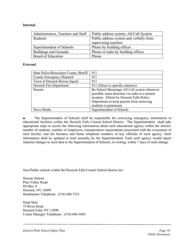#### **Internal**

| Administrators, Teachers and Staff | Public address system, All-Call System  |
|------------------------------------|-----------------------------------------|
| Students                           | Public address system and verbally from |
|                                    | supervising teachers                    |
| Superintendent of Schools          | Phone by building offices               |
| Buildings and Grounds              | Phone or radio by building offices      |
| Board of Education                 | Phone                                   |

#### **External**

| State Police/Rensselaer County Sheriff | 911                                                                                                                                                                                                               |
|----------------------------------------|-------------------------------------------------------------------------------------------------------------------------------------------------------------------------------------------------------------------|
| County Emergency Dispatch              | 911                                                                                                                                                                                                               |
| Town of Hoosick Rescue Squad           | 911                                                                                                                                                                                                               |
| Hoosick Fire Department                | 911 (Direct to specific entrance)                                                                                                                                                                                 |
| Parents                                | By School Messenger All Call system whenever<br>possible; mass direction via radio to a neutral<br>location. Efforts by Hoosick Falls Police<br>Department to keep parents from removing<br>students is paramount |
| News Media                             | Superintendent of Schools                                                                                                                                                                                         |

The Superintendent of Schools shall be responsible for conveying emergency information to educational facilities within the Hoosick Falls Central School District. The Superintendent shall take appropriate steps to secure the following information about each educational agency within the district: number of students, number of employees, transportation requirements associated with the evacuation of each facility; and the business and home telephone numbers of key officials of each agency. Such information shall be updated at least annually by the Superintendent. Each such agency would report material changes to such data to the Superintendent of Schools, in writing, within 7 days of such change.

Non-Public schools within the Hoosick Falls Central School district are:

Hoosac School Pine Valley Road PO Box 9 Hoosick, NY 12089 Headmaster Telephone: (518) 686-7331

Head Start 75 River Road Hoosick Falls, NY 12090 Center Manager Telephone: (518) 686-5045

*District-Wide School Safety Plan Page 10*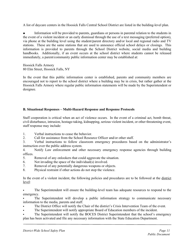A list of daycare centers in the Hoosick Falls Central School District are listed in the building-level plan.

Information will be provided to parents, guardians or persons in parental relation to the students in the event of a violent incident or an early dismissal through the use of a text messaging (preferred option), via phone at the building level using the student/parent directory and/or local and regional radio and TV stations. These are the same stations that are used to announce official school delays or closings. This information is provided to parents through the School District website, social media and building handbooks. Additionally, if an event occurs at the school district where students cannot be released immediately, a parent/community public information center may be established at:

Hoosick Falls Armory 80 Elm Street, Hoosick Falls, NY

In the event that this public information center is established, parents and community members are encouraged not to report to the school district where a building may be in crisis, but rather gather at the Hoosick Falls Armory where regular public information statements will be made by the Superintendent or designee.

# **B. Situational Responses – Multi-Hazard Response and Response Protocols**

Staff cooperation is critical when an act of violence occurs. In the event of a criminal act, bomb threat, civil disturbance, intrusion, hostage-taking, kidnapping, serious violent incident, or other threatening event, staff response may include:

1. Verbal instructions to cease the behavior.

2. Call for assistance from the School Resource Officer and/or other staff.

3. Verbal instructions to follow classroom emergency procedures based on the administrator's instruction over the public address system.

4. Notify Law enforcement and other necessary emergency response agencies through building offices.

- 5. Removal of any onlookers that could aggravate the situation.
- 6. Not invading the space of the individual(s) involved.
- 7. Removal of any potentially dangerous weapons or objects.
- 8. Physical restraint if other actions do not stop the violence.

In the event of a violent incident, the following policies and procedures are to be followed at the district level:

The Superintendent will ensure the building-level team has adequate resources to respond to the emergency.

The Superintendent will develop a public information strategy to communicate necessary information to the media, parents and staff.

- The District Office will notify the Chair of the district's Crisis Intervention Team of the event.
- The Superintendent will notify appropriate Board of Education members of the incident.
- The Superintendent will notify the BOCES District Superintendent that the school's emergency plan has been activated and file any necessary information with the State Education Department.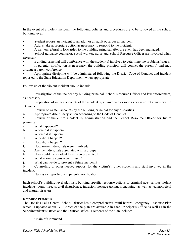In the event of a violent incident, the following policies and procedures are to be followed at the school building level:

Student reports an incident to an adult or an adult observes an incident.

▪ Adults take appropriate action as necessary to respond to the incident.

A written referral is forwarded to the building principal after the event has been managed.

School guidance counselor, social worker, nurse and School Resource Officer are involved when necessary.

Building principal will conference with the student(s) involved to determine the problems/issues.

If parental notification is necessary, the building principal will contact the parent(s) and may arrange a parent conference.

Appropriate discipline will be administered following the District Code of Conduct and incident reported to the State Education Department, when appropriate.

Follow-up of the violent incident should include:

1. Investigation of the incident by building principal, School Resource Officer and law enforcement, as necessary

2. Preparation of written accounts of the incident by all involved as soon as possible but always within 24 hours

3. Review of written accounts by the building principal for any disparities

4. Appropriate disciplinary action according to the Code of Conduct

5. Review of the entire incident by administration and the School Resource Officer for future planning:

- a. What happened?
- b. Where did it happen?
- c. When did it happen?
- d. Why did it happen?
- e. How did it happen?
- f. How many individuals were involved?
- g. Are the individuals associated with a group?
- h. How could the incident have been prevented?
- i. What warning signs were missed?
- j. What can we do to prevent a future incident?

6. Counseling or other needed support for the victim(s), other students and staff involved in the incident.

7. Necessary reporting and parental notification.

Each school's building-level plan lists building specific response actions to criminal acts, serious violent incidents, bomb threats, civil disturbance, intrusion, hostage-taking, kidnapping, as well as technological and natural disasters.

# **Response Protocols**

The Hoosick Falls Central School District has a comprehensive multi-hazard Emergency Response Plan which is updated annually. Copies of the plan are available in each Principal's Office as well as in the Superintendent's Office and the District Office. Elements of the plan include:

Chain of Command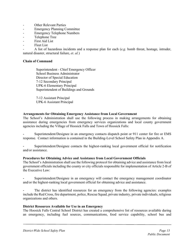- **Other Relevant Parties**
- Emergency Planning Committee
- Emergency Telephone Numbers
- Telephone Tree
- First Aid List
- Fleet List

- A list of hazardous incidents and a response plan for each (*e.g*. bomb threat, hostage, intruder, natural disaster, structural failure, *et. al.*)

#### **Chain of Command**

Superintendent - Chief Emergency Officer School Business Administrator Director of Special Education 7-12 Secondary Principal UPK-6 Elementary Principal Superintendent of Buildings and Grounds

7-12 Assistant Principal UPK-6 Assistant Principal

#### **Arrangements for Obtaining Emergency Assistance from Local Government**

The School's Administration shall use the following process in making arrangements for obtaining assistance during emergencies from emergency services organizations and local county government agencies including the Village of Hoosick Falls and Town of Hoosick Falls:

Superintendent/Designee in an emergency contacts dispatch point or 911 center for fire or EMS response. Contact information is contained in the Building-Level School Safety Plan in Appendix A.

Superintendent/Designee contacts the highest-ranking local government official for notification and/or assistance.

#### **Procedures for Obtaining Advice and Assistance from Local Government Officials**

The School's Administration shall use the following protocol for obtaining advice and assistance from local government officials including the county or city officials responsible for implementation of Article 2-B of the Executive Law:

Superintendent/Designee in an emergency will contact the emergency management coordinator and/or the highest-ranking local government official for obtaining advice and assistance.

The district has identified resources for an emergency from the following agencies: examples include the Red Cross, fire department, police, Rescue Squad, private industry, private individuals, religious organizations and others.

#### **District Resources Available for Use in an Emergency**

The Hoosick Falls Central School District has created a comprehensive list of resources available during an emergency, including fuel sources, communications, food service capability, school bus and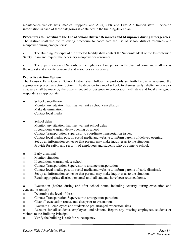maintenance vehicle lists, medical supplies, and AED, CPR and First Aid trained staff. Specific information in each of these categories is contained in the building-level plan.

# **Procedures to Coordinate the Use of School District Resources and Manpower during Emergencies**

The district shall use the following procedure to coordinate the use of school district resources and manpower during emergencies:

- The Building Principal of the effected facility shall contact the Superintendent or the District-wide Safety Team and request the necessary manpower or resources.

The Superintendent of Schools, or the highest-ranking person in the chain of command shall assess the request and allocate personnel and resources as necessary.

# **Protective Action Options**

The Hoosick Falls Central School District shall follow the protocols set forth below in assessing the appropriate protective action option. The decision to cancel school, to dismiss early, shelter in place or evacuate shall be made by the Superintendent or designee in cooperation with state and local emergency responders as appropriate.

- School cancellation
- o Monitor any situation that may warrant a school cancellation
- o Make determination
- o Contact local media
- School delay
- o Monitor any situation that may warrant school delay
- o If conditions warrant, delay opening of school
- o Contact Transportation Supervisor to coordinate transportation issues.
- o Contact local media, post on social media and website to inform parents of delayed opening.
- o Set up an information center so that parents may make inquiries as to the situation.
- o Provide for safety and security of employees and students who do come to school.
- Early dismissal
- o Monitor situation
- o If conditions warrant, close school
- o Contact Transportation Supervisor to arrange transportation.
- o Contact local media, post on social media and website to inform parents of early dismissal*.*
- o Set up an information center so that parents may make inquiries as to the situation.
- o Retain appropriate district personnel until all students have been returned home.

Evacuation (before, during and after school hours, including security during evacuation and evacuation routes)

- o Determine the level of threat
- o Contact Transportation Supervisor to arrange transportation
- o Clear all evacuation routes and sites prior to evacuation.
- o Evacuate all employees and students to pre-arranged evacuation sites.
- o Account for all students, employees and visitors. Report any missing employees, students or visitors to the Building Principal.
- o Verify the building is safe for re-occupancy.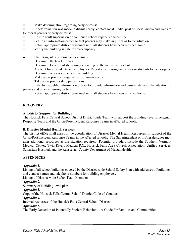o Make determination regarding early dismissal

o If determination was made to dismiss early, contact local media, post on social media and website to inform parents of early dismissal.

- o Ensure adult supervision or continued school supervision/security.
- o Set up an information center so that parents may make inquiries as to the situation.
- o Retain appropriate district personnel until all students have been returned home.
- o Verify the building is safe for re-occupancy.
- Sheltering sites (internal and external)
- o Determine the level of threat
- o Determine location of sheltering depending on the nature of incident.
- o Account for all students and employees. Report any missing employees or students to the designer.
- o Determine other occupants in the building.
- o Make appropriate arrangements for human needs.
- o Take appropriate safety precautions.
- o Establish a public information officer to provide information and current status of the situation to parents and other inquiring parties.
- o Retain appropriate district personnel until all students have been returned home.

# **RECOVERY**

#### **A. District Support for Buildings**

The Hoosick Falls Central School District District-wide Team will support the Building-level Emergency Response Team and the Crisis/Post-Incident Response Teams in affected schools.

#### **B. Disaster Mental Health Services**

The district office shall assist in the coordination of Disaster Mental Health Resources, in support of the Crisis/Post-Incident Response Teams in the affected schools. The Superintendent or his/her designee may gain additional resources as the situation requires. Potential providers include the Southern Vermont Medical Center, Twin Rivers Medical P.C., Hoosick Falls Area Church Association, Unified Services, Samaritan Hospital, and the Rensselaer County Department of Mental Health.

# **APPENDICES**

#### *Appendix 1:*

Listing of all school buildings covered by the District-wide School Safety Plan with addresses of buildings, and contact names and telephone numbers for building employees.

Listing of District-wide Safety Team Members.

#### *Appendix 2:*

Summary of Building-level plan.

#### *Appendix 3:*

Copy of the Hoosick Falls Central School District Code-of-Conduct.

# *Appendix 4:*

Internal resources of the Hoosick Falls Central School District.

#### *Appendix 5:*

The Early Detection of Potentially Violent Behaviors – A Guide for Families and Communities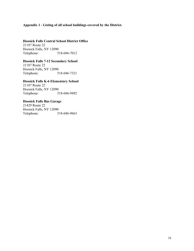#### **Appendix 1 - Listing of all school buildings covered by the District.**

**Hoosick Falls Central School District Office** 21187 Route 22 Hoosick Falls, NY 12090 Telephone: 518-686-7012

# **Hoosick Falls 7-12 Secondary School**

21187 Route 22 Hoosick Falls, NY 12090 Telephone: 518-686-7321

#### **Hoosick Falls K-6 Elementary School**

21187 Route 22 Hoosick Falls, NY 12090 Telephone: 518-686-9492

# **Hoosick Falls Bus Garage**

21429 Route 22 Hoosick Falls, NY 12090 Telephone: 518-686-9663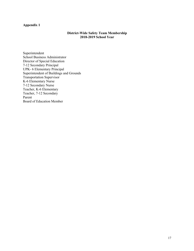# **Appendix 1**

#### **District-Wide Safety Team Membership 2018-2019 School Year**

Superintendent School Business Administrator Director of Special Education 7-12 Secondary Principal UPK- 6 Elementary Principal Superintendent of Buildings and Grounds Transportation Supervisor K-6 Elementary Nurse 7-12 Secondary Nurse Teacher, K-6 Elementary Teacher, 7-12 Secondary Parent Board of Education Member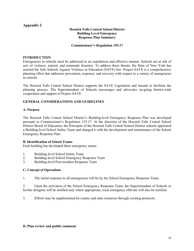# **Appendix 2**

#### **Hoosick Falls Central School District Building-Level Emergency Response Plan Summary**

#### **Commissioner's Regulation 155.17**

#### **INTRODUCTION**

Emergencies in schools must be addressed in an expeditious and effective manner. Schools are at risk of acts of violence, natural, and manmade disasters. To address these threats, the State of New York has enacted the Safe Schools Against Violence in Education (SAVE) law. Project SAVE is a comprehensive planning effort that addresses prevention, response, and recovery with respect to a variety of emergencies in schools.

The Hoosick Falls Central School District supports the SAVE Legislation and intends to facilitate the planning process. The Superintendent of Schools encourages and advocates on-going district-wide cooperation and support of Project SAVE.

#### **GENERAL CONSIDERATIONS AND GUIDELINES**

#### **A. Purpose**

The Hoosick Falls Central School District's Building-level Emergency Response Plan was developed pursuant to Commissioner's Regulation 155.17. At the direction of the Hoosick Falls Central School District Board of Education, the Principals of the Hoosick Falls Central School District schools appointed a Building-level School Safety Team and charged it with the development and maintenance of the School Emergency Response Plan.

#### **B. Identification of School Teams**

Each building has developed three emergency teams:

- 1. Building-level School Safety Team
- 2. Building-level School Emergency Response Team
- 3. Building-level Post-incident Response Team

#### **C. Concept of Operations**

1. The initial response to all emergencies will be by the School Emergency Response Team.

2. Upon the activation of the School Emergency Response Team, the Superintendent of Schools or his/her designee will be notified and, where appropriate, local emergency officials will also be notified.

3. Efforts may be supplemented by county and state resources through existing protocols.

#### **D. Plan review and public comment**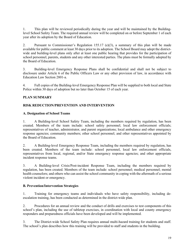1. This plan will be reviewed periodically during the year and will be maintained by the Buildinglevel School Safety Team. The required annual review will be completed on or before September 1 of each year after its adoption by the Board of Education.

2. Pursuant to Commissioner's Regulation 155.17 (e)(3), a summary of this plan will be made available for public comment at least 30 days prior to its adoption. The School Board may adopt the districtwide and building-level plans only after at least one public hearing that provides for the participation of school personnel, parents, students and any other interested parties. The plans must be formally adopted by the Board of Education.

3. Building-level Emergency Response Plans shall be confidential and shall not be subject to disclosure under Article 6 of the Public Officers Law or any other provision of law, in accordance with Education Law Section 2801-a.

4. Full copies of the Building-level Emergency Response Plan will be supplied to both local and State Police within 30 days of adoption but no later than October 15 of each year.

# **PLAN SUMMARY**

#### **RISK REDUCTION/PREVENTION AND INTERVENTION**

#### **A. Designation of School Teams**

1. A Building-level School Safety Team, including the members required by regulation, has been created. Members of the team include: school safety personnel; local law enforcement officials; representatives of teacher, administrator, and parent organizations; local ambulance and other emergency response agencies; community members; other school personnel; and other representatives appointed by the Board of Education.

2. A Building-level Emergency Response Team, including the members required by regulation, has been created. Members of the team include: school personnel, local law enforcement officials, representatives from local, regional, and/or State emergency response agencies; and other appropriate incident response teams.

3. A Building-level Crisis/Post-incident Response Team, including the members required by regulation, has been created. Members of the team include: school personnel; medical personnel; mental health counselors; and others who can assist the school community in coping with the aftermath of a serious violent incident or emergency.

#### **B. Prevention/Intervention Strategies**

1. Training for emergency teams and individuals who have safety responsibility, including deescalation training, has been conducted as determined in the district-wide plan.

2. Procedures for an annual review and the conduct of drills and exercises to test components of this school's plan, including the use of tabletop exercises, in coordination with local and county emergency responders and preparedness officials have been developed and will be implemented.

3. The District-wide School Safety Plan requires annual multi-hazard training for students and staff. The school's plan describes how this training will be provided to staff and students in the building.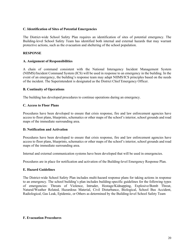#### **C. Identification of Sites of Potential Emergencies**

The District-wide School Safety Plan requires an identification of sites of potential emergency. The Building-level School Safety Team has identified both internal and external hazards that may warrant protective actions, such as the evacuation and sheltering of the school population.

#### **RESPONSE**

#### **A. Assignment of Responsibilities**

A chain of command consistent with the National Interagency Incident Management System (NIIMS)/Incident Command System (ICS) will be used in response to an emergency in the building. In the event of an emergency, the building's response team may adapt NIIMS/ICS principles based on the needs of the incident. The Superintendent is designated as the District Chief Emergency Officer.

#### **B. Continuity of Operations**

The building has developed procedures to continue operations during an emergency.

#### **C. Access to Floor Plans**

Procedures have been developed to ensure that crisis response, fire and law enforcement agencies have access to floor plans, blueprints, schematics or other maps of the school's interior, school grounds and road maps of the immediate surrounding area.

#### **D. Notification and Activation**

Procedures have been developed to ensure that crisis response, fire and law enforcement agencies have access to floor plans, blueprints, schematics or other maps of the school's interior, school grounds and road maps of the immediate surrounding area.

Internal and external communication systems have been developed that will be used in emergencies.

Procedures are in place for notification and activation of the Building-level Emergency Response Plan.

#### **E. Hazard Guidelines**

The District-wide School Safety Plan includes multi-hazard response plans for taking actions in response to an emergency. The school building's plan includes building-specific guidelines for the following types of emergencies: Threats of Violence, Intruder, Hostage/Kidnapping, Explosive/Bomb Threat, Natural/Weather Related, Hazardous Material, Civil Disturbance, Biological, School Bus Accident, Radiological, Gas Leak, Epidemic, or Others as determined by the Building-level School Safety Team

#### **F. Evacuation Procedures**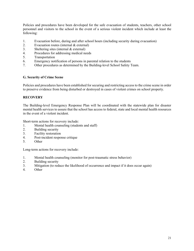Policies and procedures have been developed for the safe evacuation of students, teachers, other school personnel and visitors to the school in the event of a serious violent incident which include at least the following:

- 1. Evacuation before, during and after school hours (including security during evacuation)
- 2. Evacuation routes (internal & external)
- 3. Sheltering sites (internal & external)
- 4. Procedures for addressing medical needs
- 5. Transportation
- 6. Emergency notification of persons in parental relation to the students
- 7. Other procedures as determined by the Building-level School Safety Team.

#### **G. Security of Crime Scene**

Policies and procedures have been established for securing and restricting access to the crime scene in order to preserve evidence from being disturbed or destroyed in cases of violent crimes on school property.

# **RECOVERY**

The Building-level Emergency Response Plan will be coordinated with the statewide plan for disaster mental health services to assure that the school has access to federal, state and local mental health resources in the event of a violent incident.

Short-term actions for recovery include:

- 1. Mental health counseling (students and staff)
- 2. Building security
- 3. Facility restoration
- 4. Post-incident response critique
- 5. Other

Long-term actions for recovery include:

- 1. Mental health counseling (monitor for post-traumatic stress behavior)
- 2. Building security
- 3. Mitigation (to reduce the likelihood of occurrence and impact if it does occur again)
- 4. Other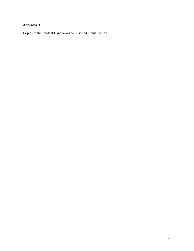# **Appendix 3**

Copies of the Student Handbooks are inserted in this section.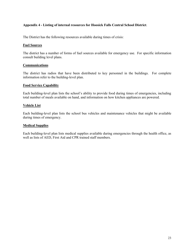#### **Appendix 4 - Listing of internal resources for Hoosick Falls Central School District**.

The District has the following resources available during times of crisis:

#### **Fuel Sources**

The district has a number of forms of fuel sources available for emergency use. For specific information consult building level plans.

#### **Communications**

The district has radios that have been distributed to key personnel in the buildings. For complete information refer to the building-level plan.

#### **Food Service Capability**

Each building-level plan lists the school's ability to provide food during times of emergencies, including total number of meals available on hand, and information on how kitchen appliances are powered.

#### **Vehicle List**

Each building-level plan lists the school bus vehicles and maintenance vehicles that might be available during times of emergency.

#### **Medical Supplies**

Each building-level plan lists medical supplies available during emergencies through the health office, as well as lists of AED, First Aid and CPR trained staff members.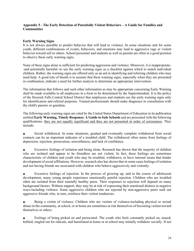#### **Appendix 5 - The Early Detection of Potentially Violent Behaviors – A Guide for Families and Communities**

#### **Early Warning Signs**

It is not always possible to predict behavior that will lead to violence. In some situations and for some youth, different combinations of events, behaviors, and emotions may lead to aggressive rage or violent behavior toward self or others. School personnel and students as well as parents are often in a good position to observe these early warning signs.

None of these signs alone is sufficient for predicting aggression and violence. Moreover, it is inappropriate- -and potentially harmful--to use the early warning signs as a checklist against which to match individual children. Rather, the warning signs are offered only as an aid in identifying and referring children who may need help. A good rule of thumb is to assume that these warning signs, especially when they are presented in combination, indicate a need for further analysis to determine an appropriate intervention.

The information that follows and such other information as may be appropriate concerning Early Warning shall be made available to all employees in a form to be determined by the Superintendent. It is the policy of the Hoosick Falls Central School District that employees and students use the early warning signs only for identification and referral purposes. Trained professionals should make diagnoses in consultation with the child's parents or guardian.

The following early warning signs are cited by the United States Department of Education in its publication entitled **Early Warning, Timely Response: A Guide to Safe Schools** and are presented with the following qualifications: they are not equally significant and they are not presented in order of seriousness. They include:

• Social withdrawal. In some situations, gradual and eventually complete withdrawal from social contacts can be an important indicator of a troubled child. The withdrawal often stems from feelings of depression, rejection, persecution, unworthiness, and lack of confidence.

Excessive feelings of isolation and being alone. Research has shown that the majority of children who are isolated and appear to be friendless are not violent. In fact, these feelings are sometimes characteristic of children and youth who may be troubled, withdrawn, or have internal issues that hinder development of social affiliations. However, research also has shown that in some cases feelings of isolation and not having friends are associated with children who behave aggressively and violently.

Excessive feelings of rejection. In the process of growing up, and in the course of adolescent development, many young people experience emotionally painful rejection. Children who are troubled often are isolated from their mentally healthy peers. Their responses to rejection will depend on many background factors. Without support, they may be at risk of expressing their emotional distress in negative ways-including violence. Some aggressive children who are rejected by non-aggressive peers seek out aggressive friends who, in turn, reinforce their violent tendencies.

Being a victim of violence. Children who are victims of violence-including physical or sexual abuse-in the community, at school, or at home are sometimes at risk themselves of becoming violent toward themselves or others.

Feelings of being picked on and persecuted. The youth who feels constantly picked on, teased, bullied, singled out for ridicule, and humiliated at home or at school may initially withdraw socially. If not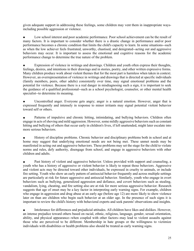given adequate support in addressing these feelings, some children may vent them in inappropriate waysincluding possible aggression or violence.

● Low school interest and poor academic performance. Poor school achievement can be the result of many factors. It is important to consider whether there is a drastic change in performance and/or poor performance becomes a chronic condition that limits the child's capacity to learn. In some situations--such as when the low achiever feels frustrated, unworthy, chastised, and denigrated--acting out and aggressive behaviors may occur. It is important to assess the emotional and cognitive reasons for the academic performance change to determine the true nature of the problem.

Expression of violence in writings and drawings. Children and youth often express their thoughts, feelings, desires, and intentions in their drawings and in stories, poetry, and other written expressive forms. Many children produce work about violent themes that for the most part is harmless when taken in context. However, an overrepresentation of violence in writings and drawings that is directed at specific individuals (family members, peers, other adults) consistently over time, may signal emotional problems and the potential for violence. Because there is a real danger in misdiagnosing such a sign, it is important to seek the guidance of a qualified professional--such as a school psychologist, counselor, or other mental health specialist--to determine its meaning.

Uncontrolled anger. Everyone gets angry; anger is a natural emotion. However, anger that is expressed frequently and intensely in response to minor irritants may signal potential violent behavior toward self or others.

Patterns of impulsive and chronic hitting, intimidating, and bullying behaviors. Children often engage in acts of shoving and mild aggression. However, some mildly aggressive behaviors such as constant hitting and bullying of others that occur early in children's lives, if left unattended, might later escalate into more serious behaviors.

History of discipline problems. Chronic behavior and disciplinary problems both in school and at home may suggest that underlying emotional needs are not being met. These unmet needs may be manifested in acting out and aggressive behaviors. These problems may set the stage for the child to violate norms and rules, defy authority, disengage from school, and engage in aggressive behaviors with other children and adults.

Past history of violent and aggressive behavior. Unless provided with support and counseling, a youth who has a history of aggressive or violent behavior is likely to repeat those behaviors. Aggressive and violent acts may be directed toward other individuals, be expressed in cruelty to animals, or include fire setting. Youth who show an early pattern of antisocial behavior frequently and across multiple settings are particularly at risk for future aggressive and antisocial behavior. Similarly, youth who engage in overt behaviors such as bullying, generalized aggression and defiance, and covert behaviors such as stealing, vandalism, lying, cheating, and fire setting also are at risk for more serious aggressive behavior. Research suggests that age of onset may be a key factor in interpreting early warning signs. For example, children who engage in aggression and drug abuse at an early age (before age 12) are more likely to show violence later on than are children who begin such behavior at an older age. In the presence of such signs it is important to review the child's history with behavioral experts and seek parents' observations and insights.

● Intolerance for differences and prejudicial attitudes. All children have likes and dislikes. However, an intense prejudice toward others based on racial, ethnic, religious, language, gender, sexual orientation, ability, and physical appearance--when coupled with other factors--may lead to violent assaults against those who are perceived to be different. Membership in hate groups or the willingness to victimize individuals with disabilities or health problems also should be treated as early warning signs.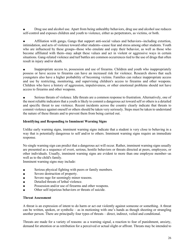Drug use and alcohol use. Apart from being unhealthy behaviors, drug use and alcohol use reduces self-control and exposes children and youth to violence, either as perpetrators, as victims, or both.

● Affiliation with gangs**.** Gangs that support anti-social values and behaviors--including extortion, intimidation, and acts of violence toward other students--cause fear and stress among other students. Youth who are influenced by these groups--those who emulate and copy their behavior, as well as those who become affiliated with them--may adopt these values and act in violent or aggressive ways in certain situations. Gang-related violence and turf battles are common occurrences tied to the use of drugs that often result in injury and/or death.

Inappropriate access to, possession and use of firearms. Children and youth who inappropriately possess or have access to firearms can have an increased risk for violence. Research shows that such youngsters also have a higher probability of becoming victims. Families can reduce inappropriate access and use by restricting, monitoring, and supervising children's access to firearms and other weapons. Children who have a history of aggression, impulsiveness, or other emotional problems should not have access to firearms and other weapons.

Serious threats of violence. Idle threats are a common response to frustration. Alternatively, one of the most reliable indicators that a youth is likely to commit a dangerous act toward self or others is a detailed and specific threat to use violence. Recent incidents across the country clearly indicate that threats to commit violence against oneself or others should be taken very seriously. Steps must be taken to understand the nature of these threats and to prevent them from being carried out.

#### **Identifying and Responding to Imminent Warning Signs**

Unlike early warning signs, imminent warning signs indicate that a student is very close to behaving in a way that is potentially dangerous to self and/or to others. Imminent warning signs require an immediate response.

No single warning sign can predict that a dangerous act will occur. Rather, imminent warning signs usually are presented as a sequence of overt, serious, hostile behaviors or threats directed at peers, employees, or other individuals. Usually, imminent warning signs are evident to more than one employee member--as well as to the child's family.

Imminent warning signs may include:

- Serious physical fighting with peers or family members.
- Severe destruction of property.
- Severe rage for seemingly minor reasons.
- Detailed threats of lethal violence.
- Possession and/or use of firearms and other weapons.
- Other self-injurious behaviors or threats of suicide.

#### **Threat Assessment**

A threat is an expression of intent to do harm or act out violently against someone or something. A threat can be written, spoken, or symbolic – as in motioning with one's hands as though shooting or strangling another person. There are principally four types of threats – direct, indirect, veiled and conditional.

Threats are made for a variety of reasons: as a warning signal, a reaction to fear of punishment, anxiety, demand for attention or as retribution for a perceived or actual slight or affront. Threats may be intended to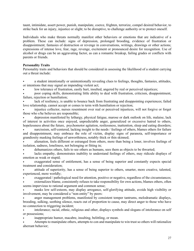taunt, intimidate, assert power, punish, manipulate, coerce, frighten, terrorize, compel desired behavior, to strike back for an injury, injustice or slight; to be disruptive, to challenge authority or to protect oneself.

Individuals who make threats normally manifest other behaviors or emotions that are indicative of a problem. These can include: signs of depression, prolonged brooding, evidence of frustration or disappointment; fantasies of destruction or revenge in conversations, writings, drawings or other actions; expressions of intense love, fear, rage, revenge, excitement or pronounced desire for recognition. Use of alcohol or drugs can be an aggravating factor, as can a romantic breakup, failing grades or conflicts with parents or friends.

# **Personality Traits**

Personality traits and behaviors that should be considered in assessing the likelihood of a student carrying out a threat include:

a student intentionally or unintentionally revealing clues to feelings, thoughts, fantasies, attitudes, or intentions that may signal an impending violent act;

low tolerance of frustration, easily hurt, insulted, angered by real or perceived injustices;

poor coping skills, demonstrating little ability to deal with frustration, criticism, disappointment, failure, rejection or humiliation;

lack of resiliency, is unable to bounce back from frustrating and disappointing experiences; failed love relationship, cannot accept or comes to term with humiliation or rejection;

injustice collector, nurses resentment over real or perceived injustices, will not forgive or forget those who s/he believes are responsible;

depression manifested by lethargy, physical fatigue, marose or dark outlook on life, malaise, lack of interest in activities once enjoyed, unpredictable anger, generalized or excessive hatred to others, hopelessness about the future, psychomotor agitation, restlessness, inattention, sleep and eating disorders;

narcissism, self-centered, lacking insight to the needs / feelings of others, blames others for failure and disappointment, may embrace the role of victim, display signs of paranoia, self-importance or grandiosity masking feelings of unworthiness, notably thick or thin skinned;

alienation, feels different or estranged from others, more than being a loner, involves feelings of isolation, sadness, loneliness, not belonging or fitting in;

dehumanizes others, fails to see others as humans, sees them as objects to be thwarted;

lacks empathy, demonstrates inability to understand feelings of others, may ridicule displays of emotion as weak or stupid;

exaggerated sense of entitlement, has a sense of being superior and constantly expects special treatment and consideration;

attitude of superiority, has a sense of being superior to others, smarter, more creative, talented, experienced, more worldly;

exaggerated / pathological need for attention, positive or negative, regardless of the circumstances;

externalizes blame, consistently refuses to take responsibility for own actions, blames others, often seems impervious to rational argument and common sense;

masks low self-esteem, may display arrogance, self-glorifying attitude, avoids high visibility or involvement, may be considered a "non-entity" by peers:

anger management problems, manifested by consistent temper tantrums, melodramatic displays, brooding, sulking, seething silence, reacts out of proportion to cause, may direct anger to those who have no connection to triggering incident;

intolerance; racial, ethnic, religious and other, displays symbols and slogans of intolerance on self or possessions;

inappropriate humor, macabre, insulting, belittling, or mean.

Attempts to manipulate others, attempts to con and manipulate to win trust so others will rationalize aberrant behavior;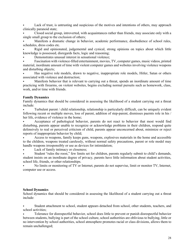Lack of trust, is untrusting and suspicious of the motives and intentions of others, may approach clinically paranoid state;

Closed social group, introverted, with acquaintances rather than friends, may associate only with a single small group to the exclusion of others;

Manifests a dramatic change in behavior, academic performance, disobedience of school rules, schedules, dress codes etc.

Rigid and opinionated, judgemental and cynical, strong opinions on topics about which little knowledge is possessed, disregards facts, logic and reasoning;

Demonstrates unusual interest in sensational violence;

▪ Fascination with violence-filled entertainment, movies, TV, computer games, music videos, printed material, inordinate amount of time with violent computer games and websites involving violence weapons and disturbing objects;

Has negative role models, drawn to negative, inappropriate role models, Hitler, Satan or others associated with violence and destruction;

Manifests behavior that is relevant to carrying out a threat, spends an inordinate amount of time practicing with firearms, on violent websites, begins excluding normal pursuits such as homework, class, work, and/or time with friends.

#### **Family Dynamics**

Family dynamics that should be considered in assessing the likelihood of a student carrying out a threat include:

Turbulent parent / child relationship, relationship is particularly difficult, can be uniquely evident following recent or multiple moves, loss of parent, addition of step-parent, dismisses paernts role in his / her life, evidence of violence in the home;

Acceptance of pathological behavior, parents do not react to behavior that most would find disturbing, parents appear unable to recognize or acknowledge problems in their children, respond quite defensively to real or perceived criticism of child, parents appear unconcerned about, minimize or reject reports of inappropriate behavior by child;

Access to weapons, family keeps guns, weapons, explosives materials in the home and accessible to the children, weapons treated carelessly, without normal safety precautions, parent or role model may handle weapons irresponsibly or use as devices for intimidation;

Lack of family intimacy or closeness;

Student "rules the roost," few limits set for children, parents regularly submit to child's demands, student insists on an inordinate degree of privacy, parents have little information about student activities, school life, friends, or other relationships.

No limits or monitoring of TV or Internet, parents do not supervise, limit or monitor TV, Internet, computer use or access.

#### **School Dynamics**

School dynamics that should be considered in assessing the likelihood of a student carrying out a threat include:

Student attachment to school, student appears detached from school, other students, teachers, and school activities;

Tolerance for disrespectful behavior, school does little to prevent or punish disrespectful behavior between students, bullying is part of the school culture, school authorities are oblivious to bullying, little or no intervention by school authorities, school atmosphere promotes racial or class divisions, allows them to remain unchallenged;